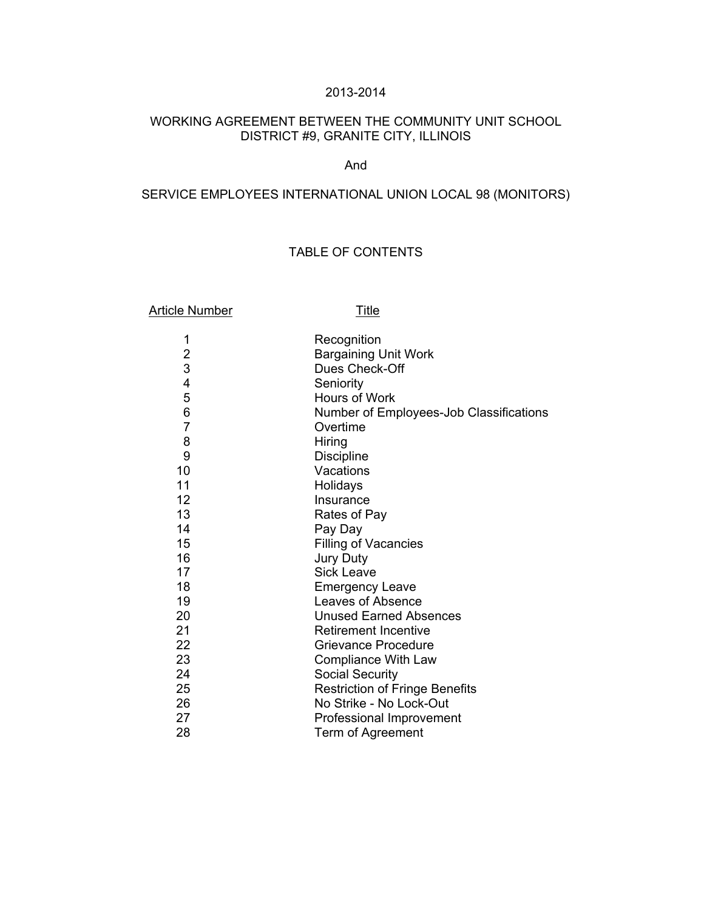# 2013-2014

# WORKING AGREEMENT BETWEEN THE COMMUNITY UNIT SCHOOL DISTRICT #9, GRANITE CITY, ILLINOIS

## And

# SERVICE EMPLOYEES INTERNATIONAL UNION LOCAL 98 (MONITORS)

# TABLE OF CONTENTS

| <b>Article Number</b>   | <b>Title</b>                            |  |
|-------------------------|-----------------------------------------|--|
| 1                       | Recognition                             |  |
| $\overline{\mathbf{c}}$ | <b>Bargaining Unit Work</b>             |  |
| 3                       | Dues Check-Off                          |  |
| 4                       | Seniority                               |  |
| 5                       | Hours of Work                           |  |
| 6                       | Number of Employees-Job Classifications |  |
| $\overline{7}$          | Overtime                                |  |
| 8                       | Hiring                                  |  |
| 9                       | <b>Discipline</b>                       |  |
| 10                      | Vacations                               |  |
| 11                      | Holidays                                |  |
| 12                      | Insurance                               |  |
| 13                      | Rates of Pay                            |  |
| 14                      | Pay Day                                 |  |
| 15                      | Filling of Vacancies                    |  |
| 16                      | Jury Duty                               |  |
| 17                      | <b>Sick Leave</b>                       |  |
| 18                      | <b>Emergency Leave</b>                  |  |
| 19                      | Leaves of Absence                       |  |
| 20                      | <b>Unused Earned Absences</b>           |  |
| 21                      | <b>Retirement Incentive</b>             |  |
| 22                      | Grievance Procedure                     |  |
| 23                      | Compliance With Law                     |  |
| 24                      | <b>Social Security</b>                  |  |
| 25                      | <b>Restriction of Fringe Benefits</b>   |  |
| 26                      | No Strike - No Lock-Out                 |  |
| 27                      | Professional Improvement                |  |
| 28                      | Term of Agreement                       |  |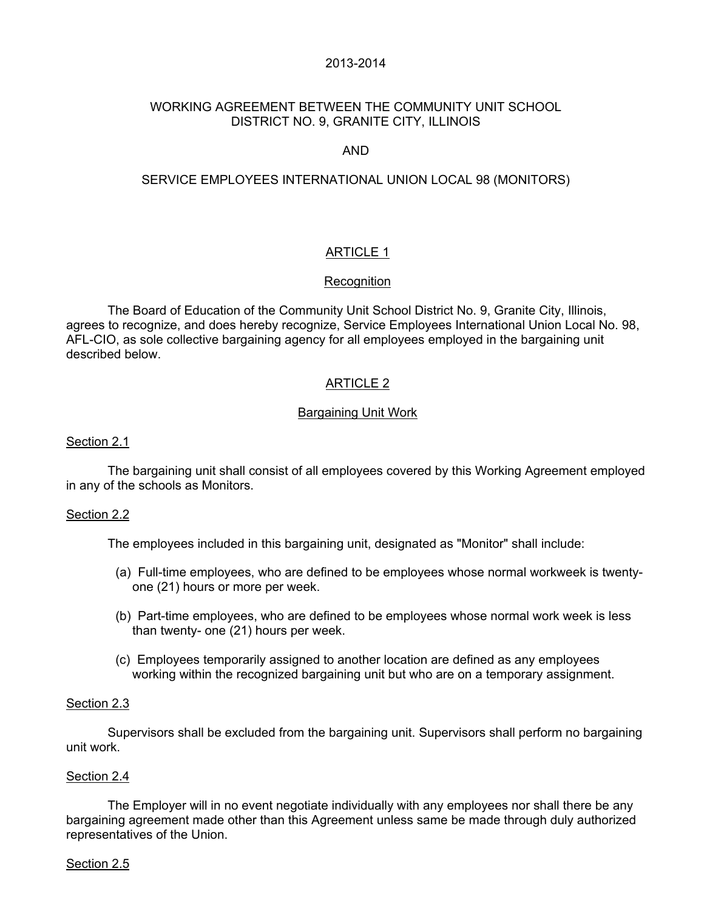## 2013-2014

# WORKING AGREEMENT BETWEEN THE COMMUNITY UNIT SCHOOL DISTRICT NO. 9, GRANITE CITY, ILLINOIS

# AND

## SERVICE EMPLOYEES INTERNATIONAL UNION LOCAL 98 (MONITORS)

# **ARTICLE 1**

## **Recognition**

 The Board of Education of the Community Unit School District No. 9, Granite City, Illinois, agrees to recognize, and does hereby recognize, Service Employees International Union Local No. 98, AFL-CIO, as sole collective bargaining agency for all employees employed in the bargaining unit described below.

# ARTICLE 2

## Bargaining Unit Work

#### Section 2.1

 The bargaining unit shall consist of all employees covered by this Working Agreement employed in any of the schools as Monitors.

## Section 2.2

The employees included in this bargaining unit, designated as "Monitor" shall include:

- (a) Full-time employees, who are defined to be employees whose normal workweek is twentyone (21) hours or more per week.
- (b) Part-time employees, who are defined to be employees whose normal work week is less than twenty- one (21) hours per week.
- (c) Employees temporarily assigned to another location are defined as any employees working within the recognized bargaining unit but who are on a temporary assignment.

#### Section 2.3

 Supervisors shall be excluded from the bargaining unit. Supervisors shall perform no bargaining unit work.

#### Section 2.4

 The Employer will in no event negotiate individually with any employees nor shall there be any bargaining agreement made other than this Agreement unless same be made through duly authorized representatives of the Union.

#### Section 2.5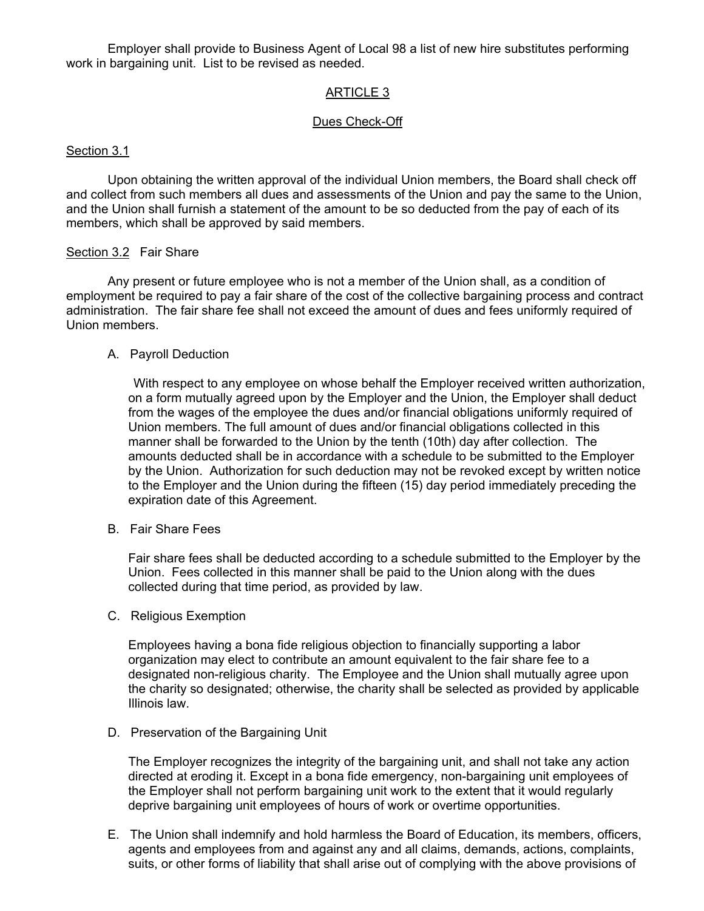Employer shall provide to Business Agent of Local 98 a list of new hire substitutes performing work in bargaining unit. List to be revised as needed.

# ARTICLE 3

# Dues Check-Off

## Section 3.1

 Upon obtaining the written approval of the individual Union members, the Board shall check off and collect from such members all dues and assessments of the Union and pay the same to the Union, and the Union shall furnish a statement of the amount to be so deducted from the pay of each of its members, which shall be approved by said members.

## Section 3.2 Fair Share

 Any present or future employee who is not a member of the Union shall, as a condition of employment be required to pay a fair share of the cost of the collective bargaining process and contract administration. The fair share fee shall not exceed the amount of dues and fees uniformly required of Union members.

#### A. Payroll Deduction

 With respect to any employee on whose behalf the Employer received written authorization, on a form mutually agreed upon by the Employer and the Union, the Employer shall deduct from the wages of the employee the dues and/or financial obligations uniformly required of Union members. The full amount of dues and/or financial obligations collected in this manner shall be forwarded to the Union by the tenth (10th) day after collection. The amounts deducted shall be in accordance with a schedule to be submitted to the Employer by the Union. Authorization for such deduction may not be revoked except by written notice to the Employer and the Union during the fifteen (15) day period immediately preceding the expiration date of this Agreement.

## B. Fair Share Fees

 Fair share fees shall be deducted according to a schedule submitted to the Employer by the Union. Fees collected in this manner shall be paid to the Union along with the dues collected during that time period, as provided by law.

C. Religious Exemption

 Employees having a bona fide religious objection to financially supporting a labor organization may elect to contribute an amount equivalent to the fair share fee to a designated non-religious charity. The Employee and the Union shall mutually agree upon the charity so designated; otherwise, the charity shall be selected as provided by applicable Illinois law.

#### D. Preservation of the Bargaining Unit

 The Employer recognizes the integrity of the bargaining unit, and shall not take any action directed at eroding it. Except in a bona fide emergency, non-bargaining unit employees of the Employer shall not perform bargaining unit work to the extent that it would regularly deprive bargaining unit employees of hours of work or overtime opportunities.

 E. The Union shall indemnify and hold harmless the Board of Education, its members, officers, agents and employees from and against any and all claims, demands, actions, complaints, suits, or other forms of liability that shall arise out of complying with the above provisions of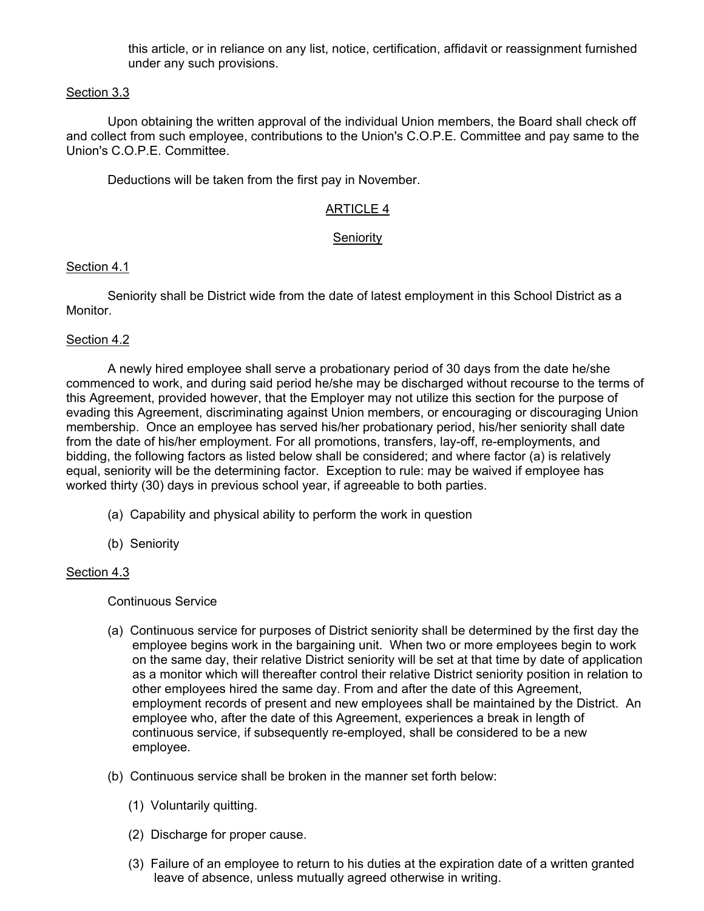this article, or in reliance on any list, notice, certification, affidavit or reassignment furnished under any such provisions.

# Section 3.3

 Upon obtaining the written approval of the individual Union members, the Board shall check off and collect from such employee, contributions to the Union's C.O.P.E. Committee and pay same to the Union's C.O.P.E. Committee.

Deductions will be taken from the first pay in November.

# ARTICLE 4

# Seniority

# Section 4.1

 Seniority shall be District wide from the date of latest employment in this School District as a Monitor.

# Section 4.2

 A newly hired employee shall serve a probationary period of 30 days from the date he/she commenced to work, and during said period he/she may be discharged without recourse to the terms of this Agreement, provided however, that the Employer may not utilize this section for the purpose of evading this Agreement, discriminating against Union members, or encouraging or discouraging Union membership. Once an employee has served his/her probationary period, his/her seniority shall date from the date of his/her employment. For all promotions, transfers, lay-off, re-employments, and bidding, the following factors as listed below shall be considered; and where factor (a) is relatively equal, seniority will be the determining factor. Exception to rule: may be waived if employee has worked thirty (30) days in previous school year, if agreeable to both parties.

- (a) Capability and physical ability to perform the work in question
- (b) Seniority

## Section 4.3

Continuous Service

- (a) Continuous service for purposes of District seniority shall be determined by the first day the employee begins work in the bargaining unit. When two or more employees begin to work on the same day, their relative District seniority will be set at that time by date of application as a monitor which will thereafter control their relative District seniority position in relation to other employees hired the same day. From and after the date of this Agreement, employment records of present and new employees shall be maintained by the District. An employee who, after the date of this Agreement, experiences a break in length of continuous service, if subsequently re-employed, shall be considered to be a new employee.
- (b) Continuous service shall be broken in the manner set forth below:
	- (1) Voluntarily quitting.
	- (2) Discharge for proper cause.
	- (3) Failure of an employee to return to his duties at the expiration date of a written granted leave of absence, unless mutually agreed otherwise in writing.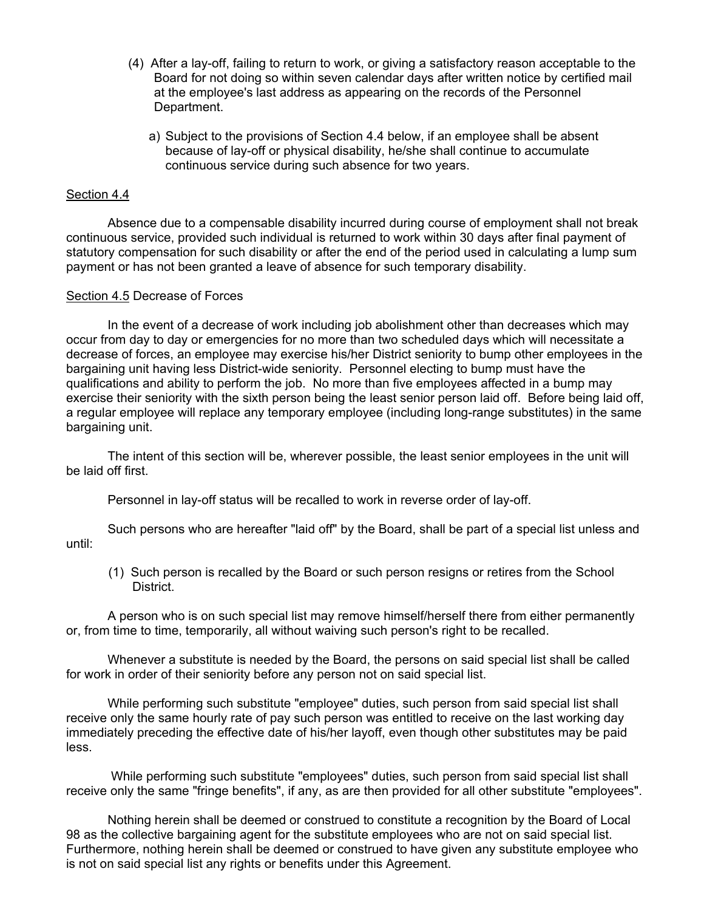- (4) After a lay-off, failing to return to work, or giving a satisfactory reason acceptable to the Board for not doing so within seven calendar days after written notice by certified mail at the employee's last address as appearing on the records of the Personnel Department.
	- a) Subject to the provisions of Section 4.4 below, if an employee shall be absent because of lay-off or physical disability, he/she shall continue to accumulate continuous service during such absence for two years.

#### Section 4.4

 Absence due to a compensable disability incurred during course of employment shall not break continuous service, provided such individual is returned to work within 30 days after final payment of statutory compensation for such disability or after the end of the period used in calculating a lump sum payment or has not been granted a leave of absence for such temporary disability.

#### Section 4.5 Decrease of Forces

 In the event of a decrease of work including job abolishment other than decreases which may occur from day to day or emergencies for no more than two scheduled days which will necessitate a decrease of forces, an employee may exercise his/her District seniority to bump other employees in the bargaining unit having less District-wide seniority. Personnel electing to bump must have the qualifications and ability to perform the job. No more than five employees affected in a bump may exercise their seniority with the sixth person being the least senior person laid off. Before being laid off, a regular employee will replace any temporary employee (including long-range substitutes) in the same bargaining unit.

 The intent of this section will be, wherever possible, the least senior employees in the unit will be laid off first.

Personnel in lay-off status will be recalled to work in reverse order of lay-off.

 Such persons who are hereafter "laid off" by the Board, shall be part of a special list unless and until:

 (1) Such person is recalled by the Board or such person resigns or retires from the School District.

 A person who is on such special list may remove himself/herself there from either permanently or, from time to time, temporarily, all without waiving such person's right to be recalled.

 Whenever a substitute is needed by the Board, the persons on said special list shall be called for work in order of their seniority before any person not on said special list.

 While performing such substitute "employee" duties, such person from said special list shall receive only the same hourly rate of pay such person was entitled to receive on the last working day immediately preceding the effective date of his/her layoff, even though other substitutes may be paid less.

 While performing such substitute "employees" duties, such person from said special list shall receive only the same "fringe benefits", if any, as are then provided for all other substitute "employees".

 Nothing herein shall be deemed or construed to constitute a recognition by the Board of Local 98 as the collective bargaining agent for the substitute employees who are not on said special list. Furthermore, nothing herein shall be deemed or construed to have given any substitute employee who is not on said special list any rights or benefits under this Agreement.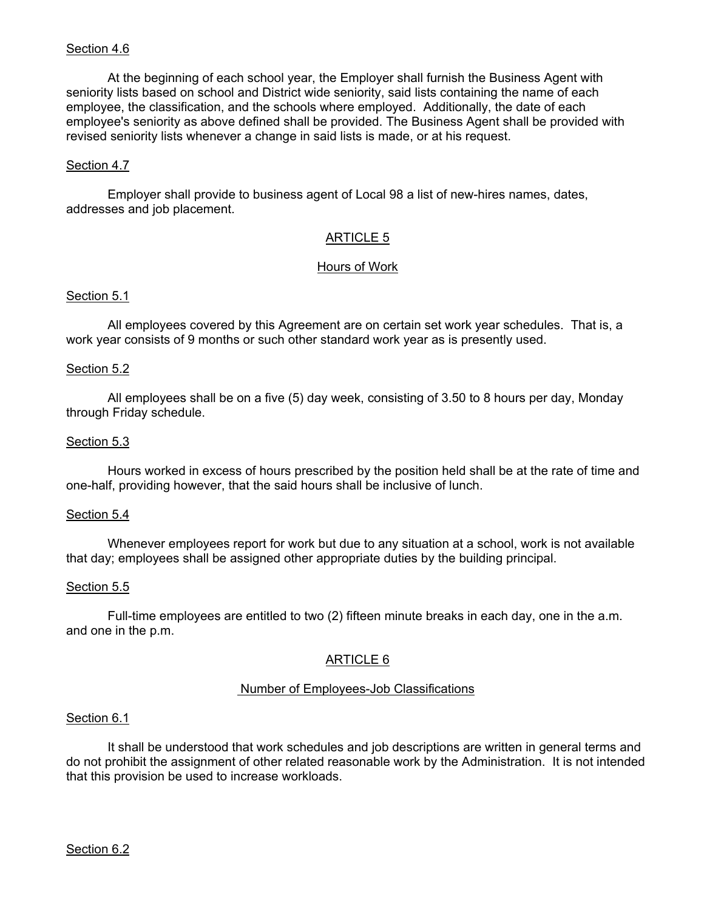## Section 4.6

 At the beginning of each school year, the Employer shall furnish the Business Agent with seniority lists based on school and District wide seniority, said lists containing the name of each employee, the classification, and the schools where employed. Additionally, the date of each employee's seniority as above defined shall be provided. The Business Agent shall be provided with revised seniority lists whenever a change in said lists is made, or at his request.

#### Section 4.7

Employer shall provide to business agent of Local 98 a list of new-hires names, dates, addresses and job placement.

## ARTICLE 5

#### Hours of Work

#### Section 5.1

 All employees covered by this Agreement are on certain set work year schedules. That is, a work year consists of 9 months or such other standard work year as is presently used.

#### Section 5.2

 All employees shall be on a five (5) day week, consisting of 3.50 to 8 hours per day, Monday through Friday schedule.

#### Section 5.3

 Hours worked in excess of hours prescribed by the position held shall be at the rate of time and one-half, providing however, that the said hours shall be inclusive of lunch.

#### Section 5.4

 Whenever employees report for work but due to any situation at a school, work is not available that day; employees shall be assigned other appropriate duties by the building principal.

#### Section 5.5

 Full-time employees are entitled to two (2) fifteen minute breaks in each day, one in the a.m. and one in the p.m.

## ARTICLE 6

## Number of Employees-Job Classifications

#### Section 6.1

 It shall be understood that work schedules and job descriptions are written in general terms and do not prohibit the assignment of other related reasonable work by the Administration. It is not intended that this provision be used to increase workloads.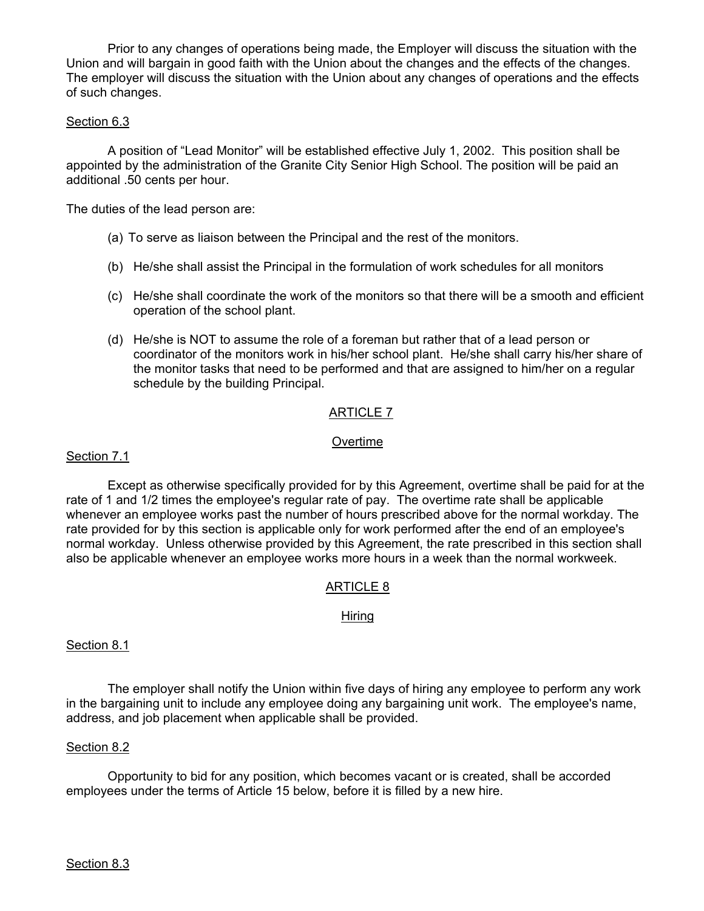Prior to any changes of operations being made, the Employer will discuss the situation with the Union and will bargain in good faith with the Union about the changes and the effects of the changes. The employer will discuss the situation with the Union about any changes of operations and the effects of such changes.

#### Section 6.3

A position of "Lead Monitor" will be established effective July 1, 2002. This position shall be appointed by the administration of the Granite City Senior High School. The position will be paid an additional .50 cents per hour.

The duties of the lead person are:

- (a) To serve as liaison between the Principal and the rest of the monitors.
- (b) He/she shall assist the Principal in the formulation of work schedules for all monitors
- (c) He/she shall coordinate the work of the monitors so that there will be a smooth and efficient operation of the school plant.
- (d) He/she is NOT to assume the role of a foreman but rather that of a lead person or coordinator of the monitors work in his/her school plant. He/she shall carry his/her share of the monitor tasks that need to be performed and that are assigned to him/her on a regular schedule by the building Principal.

## ARTICLE 7

#### Overtime

#### Section 7.1

 Except as otherwise specifically provided for by this Agreement, overtime shall be paid for at the rate of 1 and 1/2 times the employee's regular rate of pay. The overtime rate shall be applicable whenever an employee works past the number of hours prescribed above for the normal workday. The rate provided for by this section is applicable only for work performed after the end of an employee's normal workday. Unless otherwise provided by this Agreement, the rate prescribed in this section shall also be applicable whenever an employee works more hours in a week than the normal workweek.

# ARTICLE 8

## Hiring

#### Section 8.1

 The employer shall notify the Union within five days of hiring any employee to perform any work in the bargaining unit to include any employee doing any bargaining unit work. The employee's name, address, and job placement when applicable shall be provided.

#### Section 8.2

 Opportunity to bid for any position, which becomes vacant or is created, shall be accorded employees under the terms of Article 15 below, before it is filled by a new hire.

#### Section 8.3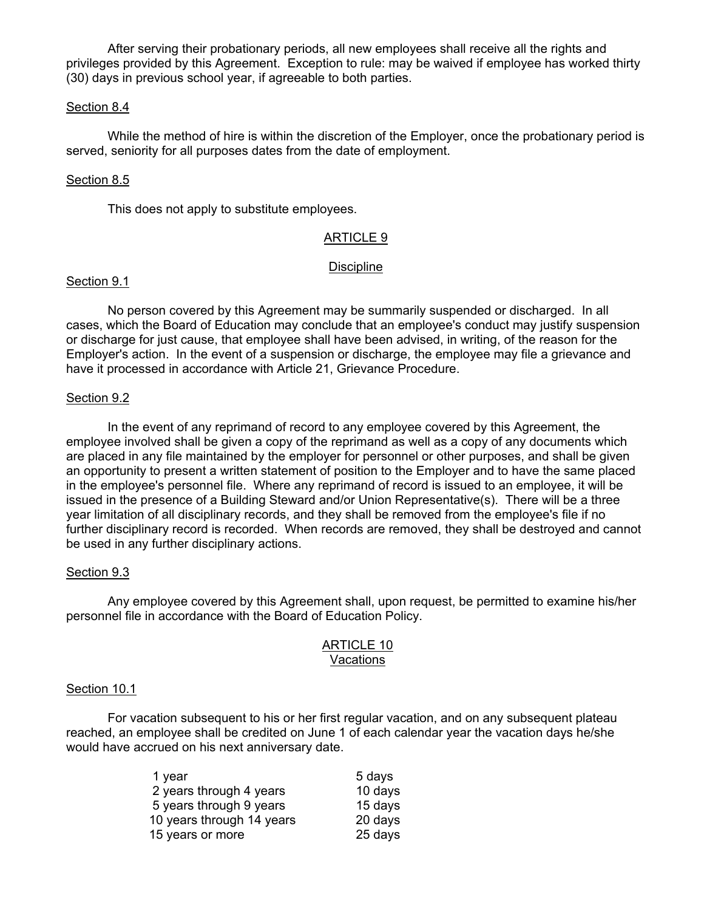After serving their probationary periods, all new employees shall receive all the rights and privileges provided by this Agreement. Exception to rule: may be waived if employee has worked thirty (30) days in previous school year, if agreeable to both parties.

## Section 8.4

 While the method of hire is within the discretion of the Employer, once the probationary period is served, seniority for all purposes dates from the date of employment.

#### Section 8.5

This does not apply to substitute employees.

## ARTICLE 9

#### Discipline

## Section 9.1

 No person covered by this Agreement may be summarily suspended or discharged. In all cases, which the Board of Education may conclude that an employee's conduct may justify suspension or discharge for just cause, that employee shall have been advised, in writing, of the reason for the Employer's action. In the event of a suspension or discharge, the employee may file a grievance and have it processed in accordance with Article 21, Grievance Procedure.

#### Section 9.2

 In the event of any reprimand of record to any employee covered by this Agreement, the employee involved shall be given a copy of the reprimand as well as a copy of any documents which are placed in any file maintained by the employer for personnel or other purposes, and shall be given an opportunity to present a written statement of position to the Employer and to have the same placed in the employee's personnel file. Where any reprimand of record is issued to an employee, it will be issued in the presence of a Building Steward and/or Union Representative(s). There will be a three year limitation of all disciplinary records, and they shall be removed from the employee's file if no further disciplinary record is recorded. When records are removed, they shall be destroyed and cannot be used in any further disciplinary actions.

#### Section 9.3

 Any employee covered by this Agreement shall, upon request, be permitted to examine his/her personnel file in accordance with the Board of Education Policy.

#### ARTICLE 10 Vacations

#### Section 10.1

 For vacation subsequent to his or her first regular vacation, and on any subsequent plateau reached, an employee shall be credited on June 1 of each calendar year the vacation days he/she would have accrued on his next anniversary date.

| 1 year                    | 5 days  |
|---------------------------|---------|
| 2 years through 4 years   | 10 days |
| 5 years through 9 years   | 15 days |
| 10 years through 14 years | 20 days |
| 15 years or more          | 25 days |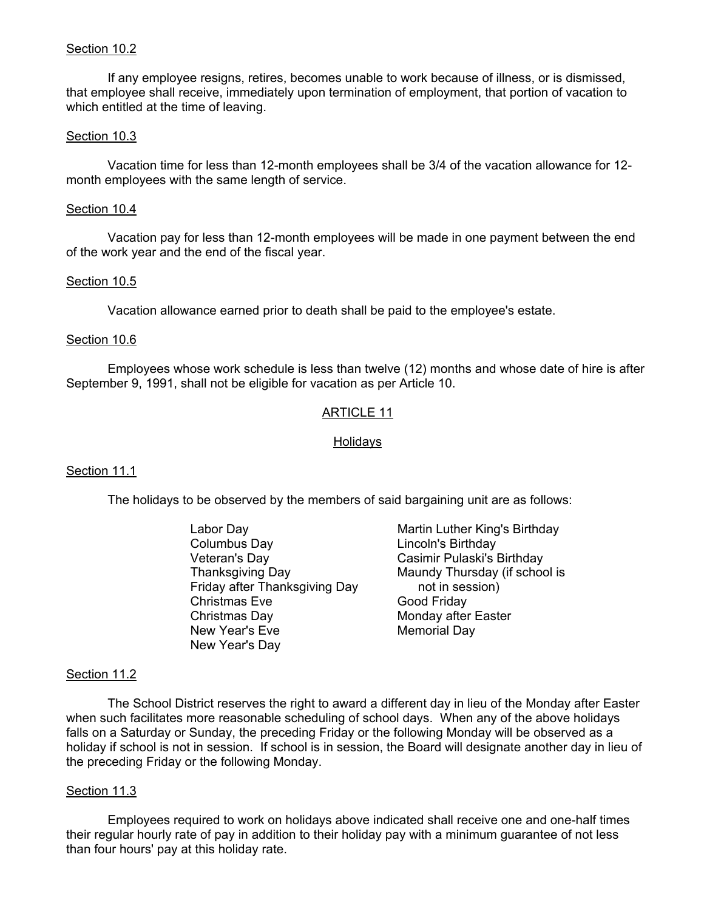## Section 10.2

 If any employee resigns, retires, becomes unable to work because of illness, or is dismissed, that employee shall receive, immediately upon termination of employment, that portion of vacation to which entitled at the time of leaving.

#### Section 10.3

 Vacation time for less than 12-month employees shall be 3/4 of the vacation allowance for 12 month employees with the same length of service.

#### Section 10.4

 Vacation pay for less than 12-month employees will be made in one payment between the end of the work year and the end of the fiscal year.

#### Section 10.5

Vacation allowance earned prior to death shall be paid to the employee's estate.

#### Section 10.6

 Employees whose work schedule is less than twelve (12) months and whose date of hire is after September 9, 1991, shall not be eligible for vacation as per Article 10.

## ARTICLE 11

#### Holidays

## Section 11.1

The holidays to be observed by the members of said bargaining unit are as follows:

 Labor Day Martin Luther King's Birthday Columbus Day Lincoln's Birthday Veteran's Day Casimir Pulaski's Birthday Friday after Thanksgiving Day not in session) Christmas Eve Good Friday Christmas Day **Monday** after Easter New Year's Eve **Memorial Day** New Year's Day

Thanksgiving Day Maundy Thursday (if school is

#### Section 11.2

 The School District reserves the right to award a different day in lieu of the Monday after Easter when such facilitates more reasonable scheduling of school days. When any of the above holidays falls on a Saturday or Sunday, the preceding Friday or the following Monday will be observed as a holiday if school is not in session. If school is in session, the Board will designate another day in lieu of the preceding Friday or the following Monday.

#### Section 11.3

 Employees required to work on holidays above indicated shall receive one and one-half times their regular hourly rate of pay in addition to their holiday pay with a minimum guarantee of not less than four hours' pay at this holiday rate.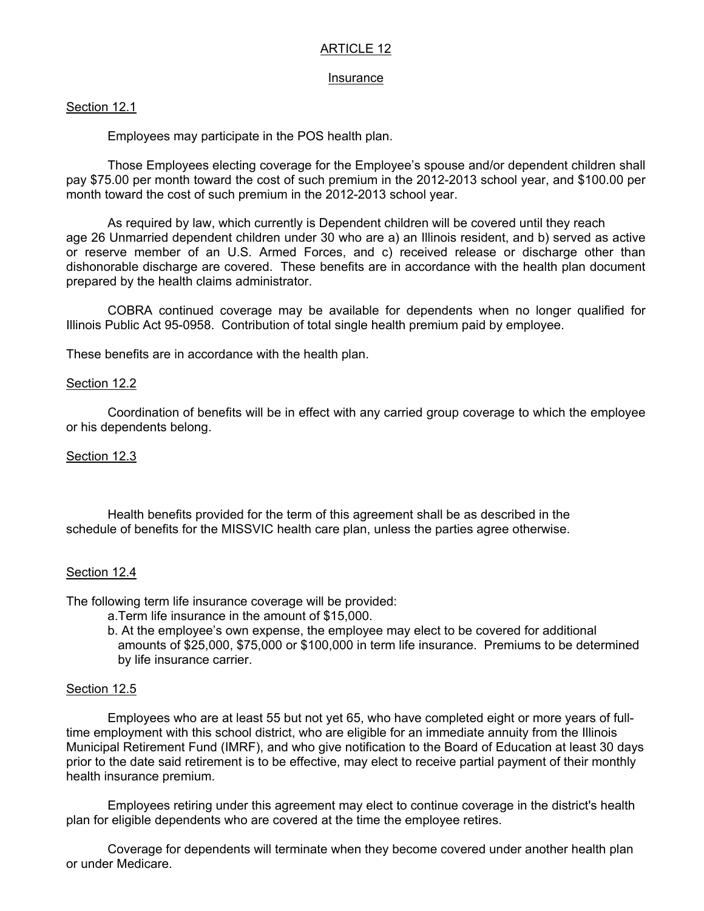# ARTICLE 12

#### Insurance

# Section 12.1

Employees may participate in the POS health plan.

 Those Employees electing coverage for the Employee's spouse and/or dependent children shall pay \$75.00 per month toward the cost of such premium in the 2012-2013 school year, and \$100.00 per month toward the cost of such premium in the 2012-2013 school year.

As required by law, which currently is Dependent children will be covered until they reach age 26 Unmarried dependent children under 30 who are a) an Illinois resident, and b) served as active or reserve member of an U.S. Armed Forces, and c) received release or discharge other than dishonorable discharge are covered. These benefits are in accordance with the health plan document prepared by the health claims administrator.

COBRA continued coverage may be available for dependents when no longer qualified for Illinois Public Act 95-0958. Contribution of total single health premium paid by employee.

These benefits are in accordance with the health plan.

## Section 12.2

 Coordination of benefits will be in effect with any carried group coverage to which the employee or his dependents belong.

## Section 12.3

Health benefits provided for the term of this agreement shall be as described in the schedule of benefits for the MISSVIC health care plan, unless the parties agree otherwise.

## Section 12.4

The following term life insurance coverage will be provided:

- a.Term life insurance in the amount of \$15,000.
- b. At the employee's own expense, the employee may elect to be covered for additional amounts of \$25,000, \$75,000 or \$100,000 in term life insurance. Premiums to be determined by life insurance carrier.

## Section 12.5

 Employees who are at least 55 but not yet 65, who have completed eight or more years of fulltime employment with this school district, who are eligible for an immediate annuity from the Illinois Municipal Retirement Fund (IMRF), and who give notification to the Board of Education at least 30 days prior to the date said retirement is to be effective, may elect to receive partial payment of their monthly health insurance premium.

 Employees retiring under this agreement may elect to continue coverage in the district's health plan for eligible dependents who are covered at the time the employee retires.

 Coverage for dependents will terminate when they become covered under another health plan or under Medicare.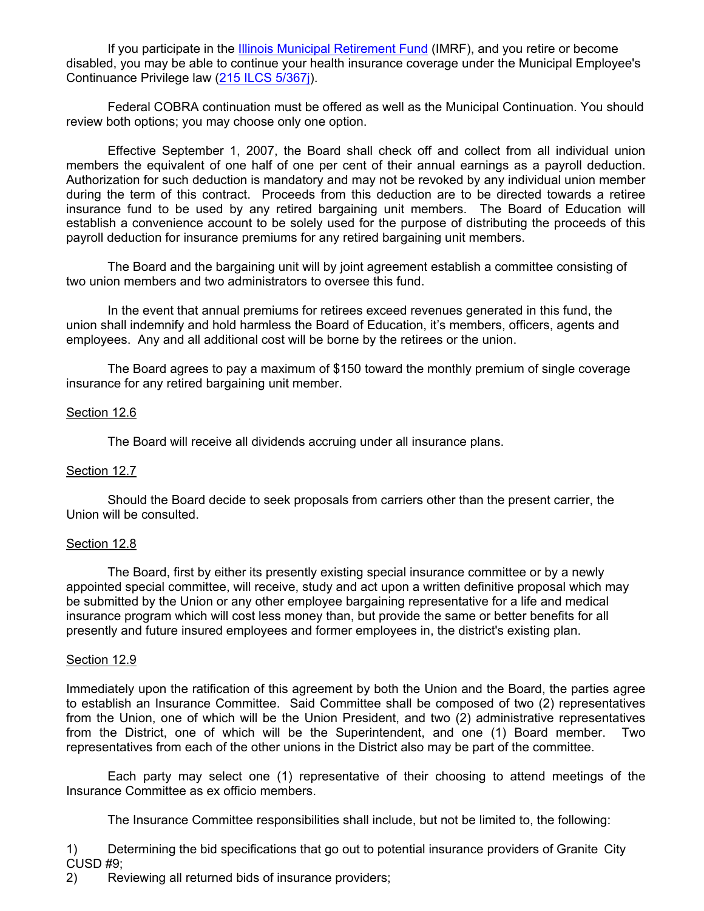If you participate in the **Illinois Municipal Retirement Fund** (IMRF), and you retire or become disabled, you may be able to continue your health insurance coverage under the Municipal Employee's Continuance Privilege law (215 ILCS 5/367j).

Federal COBRA continuation must be offered as well as the Municipal Continuation. You should review both options; you may choose only one option.

Effective September 1, 2007, the Board shall check off and collect from all individual union members the equivalent of one half of one per cent of their annual earnings as a payroll deduction. Authorization for such deduction is mandatory and may not be revoked by any individual union member during the term of this contract. Proceeds from this deduction are to be directed towards a retiree insurance fund to be used by any retired bargaining unit members. The Board of Education will establish a convenience account to be solely used for the purpose of distributing the proceeds of this payroll deduction for insurance premiums for any retired bargaining unit members.

The Board and the bargaining unit will by joint agreement establish a committee consisting of two union members and two administrators to oversee this fund.

In the event that annual premiums for retirees exceed revenues generated in this fund, the union shall indemnify and hold harmless the Board of Education, it's members, officers, agents and employees. Any and all additional cost will be borne by the retirees or the union.

The Board agrees to pay a maximum of \$150 toward the monthly premium of single coverage insurance for any retired bargaining unit member.

## Section 12.6

The Board will receive all dividends accruing under all insurance plans.

## Section 12.7

 Should the Board decide to seek proposals from carriers other than the present carrier, the Union will be consulted.

#### Section 12.8

 The Board, first by either its presently existing special insurance committee or by a newly appointed special committee, will receive, study and act upon a written definitive proposal which may be submitted by the Union or any other employee bargaining representative for a life and medical insurance program which will cost less money than, but provide the same or better benefits for all presently and future insured employees and former employees in, the district's existing plan.

#### Section 12.9

Immediately upon the ratification of this agreement by both the Union and the Board, the parties agree to establish an Insurance Committee. Said Committee shall be composed of two (2) representatives from the Union, one of which will be the Union President, and two (2) administrative representatives from the District, one of which will be the Superintendent, and one (1) Board member. Two representatives from each of the other unions in the District also may be part of the committee.

Each party may select one (1) representative of their choosing to attend meetings of the Insurance Committee as ex officio members.

The Insurance Committee responsibilities shall include, but not be limited to, the following:

1) Determining the bid specifications that go out to potential insurance providers of Granite City CUSD #9;

2) Reviewing all returned bids of insurance providers;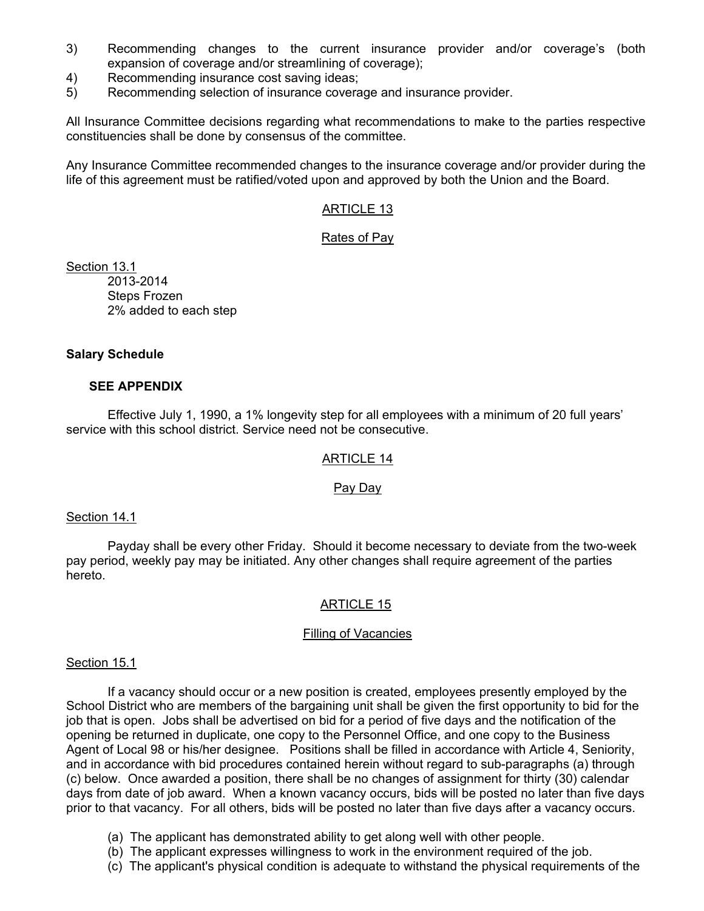- 3) Recommending changes to the current insurance provider and/or coverage's (both expansion of coverage and/or streamlining of coverage);
- 4) Recommending insurance cost saving ideas;
- 5) Recommending selection of insurance coverage and insurance provider.

All Insurance Committee decisions regarding what recommendations to make to the parties respective constituencies shall be done by consensus of the committee.

Any Insurance Committee recommended changes to the insurance coverage and/or provider during the life of this agreement must be ratified/voted upon and approved by both the Union and the Board.

# ARTICLE 13

## Rates of Pay

Section 13.1 2013-2014 Steps Frozen 2% added to each step

## **Salary Schedule**

## **SEE APPENDIX**

 Effective July 1, 1990, a 1% longevity step for all employees with a minimum of 20 full years' service with this school district. Service need not be consecutive.

## ARTICLE 14

## Pay Day

#### Section 14.1

 Payday shall be every other Friday. Should it become necessary to deviate from the two-week pay period, weekly pay may be initiated. Any other changes shall require agreement of the parties hereto.

## ARTICLE 15

#### Filling of Vacancies

#### Section 15.1

 If a vacancy should occur or a new position is created, employees presently employed by the School District who are members of the bargaining unit shall be given the first opportunity to bid for the job that is open. Jobs shall be advertised on bid for a period of five days and the notification of the opening be returned in duplicate, one copy to the Personnel Office, and one copy to the Business Agent of Local 98 or his/her designee. Positions shall be filled in accordance with Article 4, Seniority, and in accordance with bid procedures contained herein without regard to sub-paragraphs (a) through (c) below. Once awarded a position, there shall be no changes of assignment for thirty (30) calendar days from date of job award. When a known vacancy occurs, bids will be posted no later than five days prior to that vacancy. For all others, bids will be posted no later than five days after a vacancy occurs.

- (a) The applicant has demonstrated ability to get along well with other people.
- (b) The applicant expresses willingness to work in the environment required of the job.
- (c) The applicant's physical condition is adequate to withstand the physical requirements of the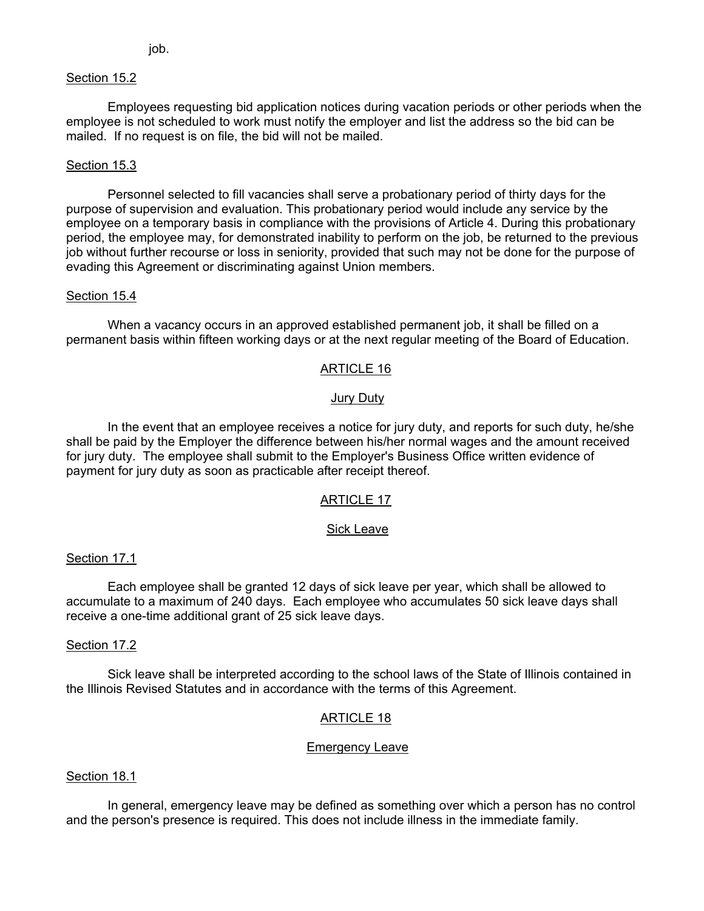job.

# Section 15.2

 Employees requesting bid application notices during vacation periods or other periods when the employee is not scheduled to work must notify the employer and list the address so the bid can be mailed. If no request is on file, the bid will not be mailed.

# Section 15.3

 Personnel selected to fill vacancies shall serve a probationary period of thirty days for the purpose of supervision and evaluation. This probationary period would include any service by the employee on a temporary basis in compliance with the provisions of Article 4. During this probationary period, the employee may, for demonstrated inability to perform on the job, be returned to the previous job without further recourse or loss in seniority, provided that such may not be done for the purpose of evading this Agreement or discriminating against Union members.

## Section 15.4

 When a vacancy occurs in an approved established permanent job, it shall be filled on a permanent basis within fifteen working days or at the next regular meeting of the Board of Education.

# ARTICLE 16

## Jury Duty

 In the event that an employee receives a notice for jury duty, and reports for such duty, he/she shall be paid by the Employer the difference between his/her normal wages and the amount received for jury duty. The employee shall submit to the Employer's Business Office written evidence of payment for jury duty as soon as practicable after receipt thereof.

## ARTICLE 17

## Sick Leave

## Section 17.1

 Each employee shall be granted 12 days of sick leave per year, which shall be allowed to accumulate to a maximum of 240 days. Each employee who accumulates 50 sick leave days shall receive a one-time additional grant of 25 sick leave days.

## Section 17.2

 Sick leave shall be interpreted according to the school laws of the State of Illinois contained in the Illinois Revised Statutes and in accordance with the terms of this Agreement.

# ARTICLE 18

## Emergency Leave

## Section 18.1

 In general, emergency leave may be defined as something over which a person has no control and the person's presence is required. This does not include illness in the immediate family.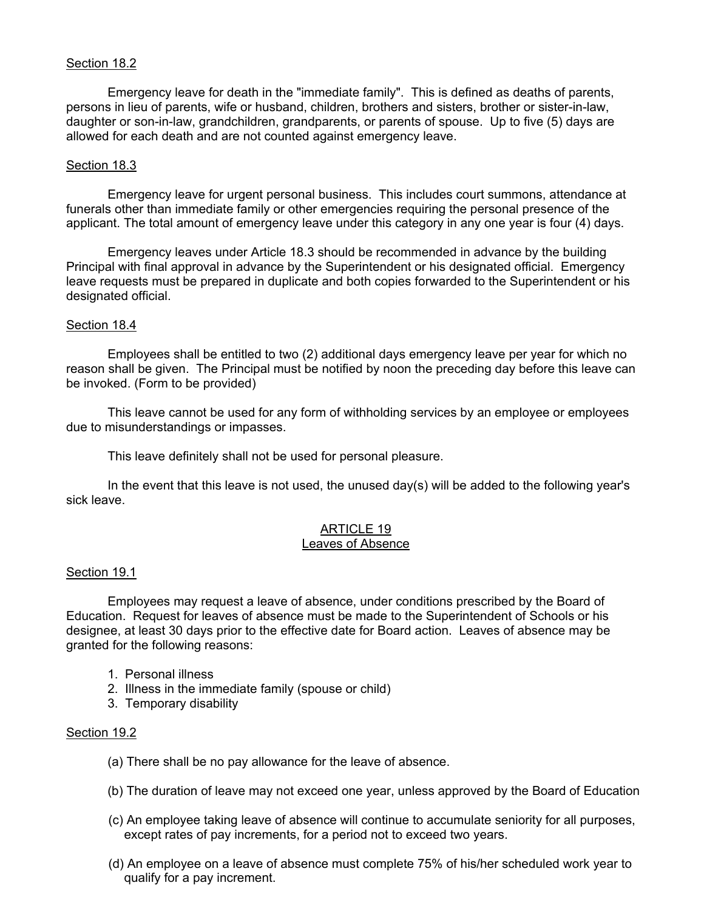# Section 18.2

 Emergency leave for death in the "immediate family". This is defined as deaths of parents, persons in lieu of parents, wife or husband, children, brothers and sisters, brother or sister-in-law, daughter or son-in-law, grandchildren, grandparents, or parents of spouse. Up to five (5) days are allowed for each death and are not counted against emergency leave.

#### Section 18.3

 Emergency leave for urgent personal business. This includes court summons, attendance at funerals other than immediate family or other emergencies requiring the personal presence of the applicant. The total amount of emergency leave under this category in any one year is four (4) days.

 Emergency leaves under Article 18.3 should be recommended in advance by the building Principal with final approval in advance by the Superintendent or his designated official. Emergency leave requests must be prepared in duplicate and both copies forwarded to the Superintendent or his designated official.

#### Section 18.4

 Employees shall be entitled to two (2) additional days emergency leave per year for which no reason shall be given. The Principal must be notified by noon the preceding day before this leave can be invoked. (Form to be provided)

 This leave cannot be used for any form of withholding services by an employee or employees due to misunderstandings or impasses.

This leave definitely shall not be used for personal pleasure.

 In the event that this leave is not used, the unused day(s) will be added to the following year's sick leave.

# ARTICLE 19

# Leaves of Absence

#### Section 19.1

 Employees may request a leave of absence, under conditions prescribed by the Board of Education. Request for leaves of absence must be made to the Superintendent of Schools or his designee, at least 30 days prior to the effective date for Board action. Leaves of absence may be granted for the following reasons:

- 1. Personal illness
- 2. Illness in the immediate family (spouse or child)
- 3. Temporary disability

## Section 19.2

- (a) There shall be no pay allowance for the leave of absence.
- (b) The duration of leave may not exceed one year, unless approved by the Board of Education
- (c) An employee taking leave of absence will continue to accumulate seniority for all purposes, except rates of pay increments, for a period not to exceed two years.
- (d) An employee on a leave of absence must complete 75% of his/her scheduled work year to qualify for a pay increment.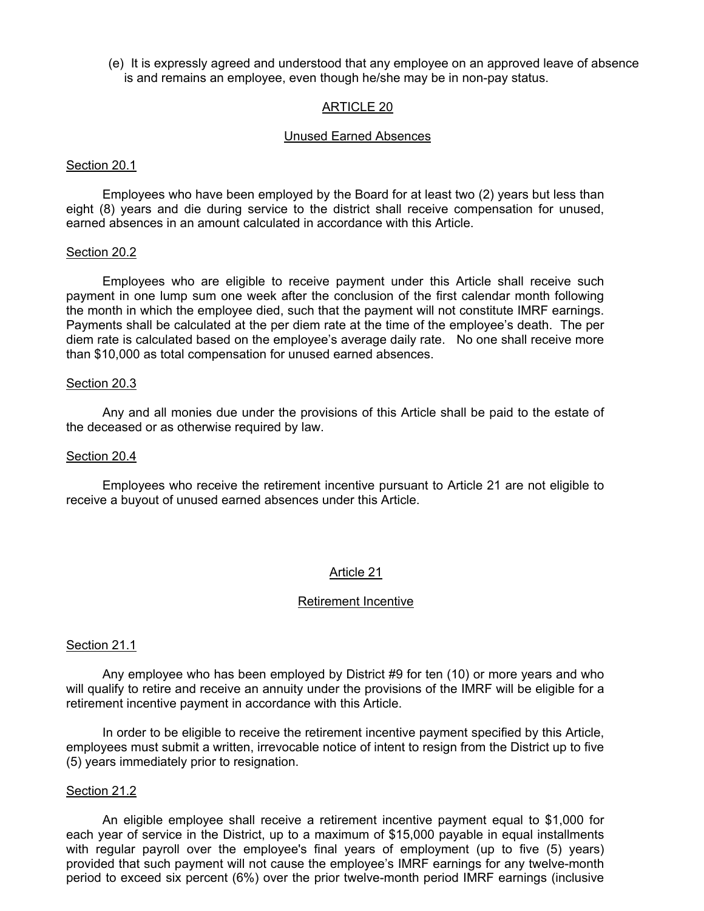(e) It is expressly agreed and understood that any employee on an approved leave of absence is and remains an employee, even though he/she may be in non-pay status.

## ARTICLE 20

#### Unused Earned Absences

#### Section 20.1

 Employees who have been employed by the Board for at least two (2) years but less than eight (8) years and die during service to the district shall receive compensation for unused, earned absences in an amount calculated in accordance with this Article.

#### Section 20.2

 Employees who are eligible to receive payment under this Article shall receive such payment in one lump sum one week after the conclusion of the first calendar month following the month in which the employee died, such that the payment will not constitute IMRF earnings. Payments shall be calculated at the per diem rate at the time of the employee's death. The per diem rate is calculated based on the employee's average daily rate. No one shall receive more than \$10,000 as total compensation for unused earned absences.

#### Section 20.3

 Any and all monies due under the provisions of this Article shall be paid to the estate of the deceased or as otherwise required by law.

#### Section 20.4

 Employees who receive the retirement incentive pursuant to Article 21 are not eligible to receive a buyout of unused earned absences under this Article.

#### Article 21

#### Retirement Incentive

#### Section 21.1

 Any employee who has been employed by District #9 for ten (10) or more years and who will qualify to retire and receive an annuity under the provisions of the IMRF will be eligible for a retirement incentive payment in accordance with this Article.

 In order to be eligible to receive the retirement incentive payment specified by this Article, employees must submit a written, irrevocable notice of intent to resign from the District up to five (5) years immediately prior to resignation.

#### Section 21.2

 An eligible employee shall receive a retirement incentive payment equal to \$1,000 for each year of service in the District, up to a maximum of \$15,000 payable in equal installments with regular payroll over the employee's final years of employment (up to five (5) years) provided that such payment will not cause the employee's IMRF earnings for any twelve-month period to exceed six percent (6%) over the prior twelve-month period IMRF earnings (inclusive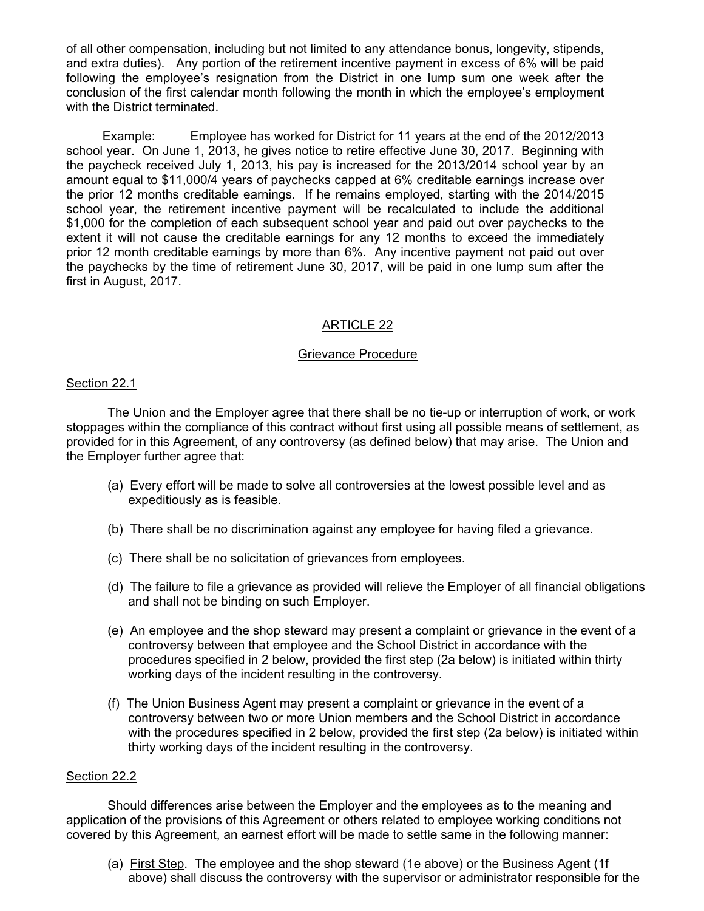of all other compensation, including but not limited to any attendance bonus, longevity, stipends, and extra duties). Any portion of the retirement incentive payment in excess of 6% will be paid following the employee's resignation from the District in one lump sum one week after the conclusion of the first calendar month following the month in which the employee's employment with the District terminated.

 Example: Employee has worked for District for 11 years at the end of the 2012/2013 school year. On June 1, 2013, he gives notice to retire effective June 30, 2017. Beginning with the paycheck received July 1, 2013, his pay is increased for the 2013/2014 school year by an amount equal to \$11,000/4 years of paychecks capped at 6% creditable earnings increase over the prior 12 months creditable earnings. If he remains employed, starting with the 2014/2015 school year, the retirement incentive payment will be recalculated to include the additional \$1,000 for the completion of each subsequent school year and paid out over paychecks to the extent it will not cause the creditable earnings for any 12 months to exceed the immediately prior 12 month creditable earnings by more than 6%. Any incentive payment not paid out over the paychecks by the time of retirement June 30, 2017, will be paid in one lump sum after the first in August, 2017.

# ARTICLE 22

# Grievance Procedure

## Section 22.1

 The Union and the Employer agree that there shall be no tie-up or interruption of work, or work stoppages within the compliance of this contract without first using all possible means of settlement, as provided for in this Agreement, of any controversy (as defined below) that may arise. The Union and the Employer further agree that:

- (a) Every effort will be made to solve all controversies at the lowest possible level and as expeditiously as is feasible.
- (b) There shall be no discrimination against any employee for having filed a grievance.
- (c) There shall be no solicitation of grievances from employees.
- (d) The failure to file a grievance as provided will relieve the Employer of all financial obligations and shall not be binding on such Employer.
- (e) An employee and the shop steward may present a complaint or grievance in the event of a controversy between that employee and the School District in accordance with the procedures specified in 2 below, provided the first step (2a below) is initiated within thirty working days of the incident resulting in the controversy.
- (f) The Union Business Agent may present a complaint or grievance in the event of a controversy between two or more Union members and the School District in accordance with the procedures specified in 2 below, provided the first step (2a below) is initiated within thirty working days of the incident resulting in the controversy.

## Section 22.2

 Should differences arise between the Employer and the employees as to the meaning and application of the provisions of this Agreement or others related to employee working conditions not covered by this Agreement, an earnest effort will be made to settle same in the following manner:

 (a) First Step. The employee and the shop steward (1e above) or the Business Agent (1f above) shall discuss the controversy with the supervisor or administrator responsible for the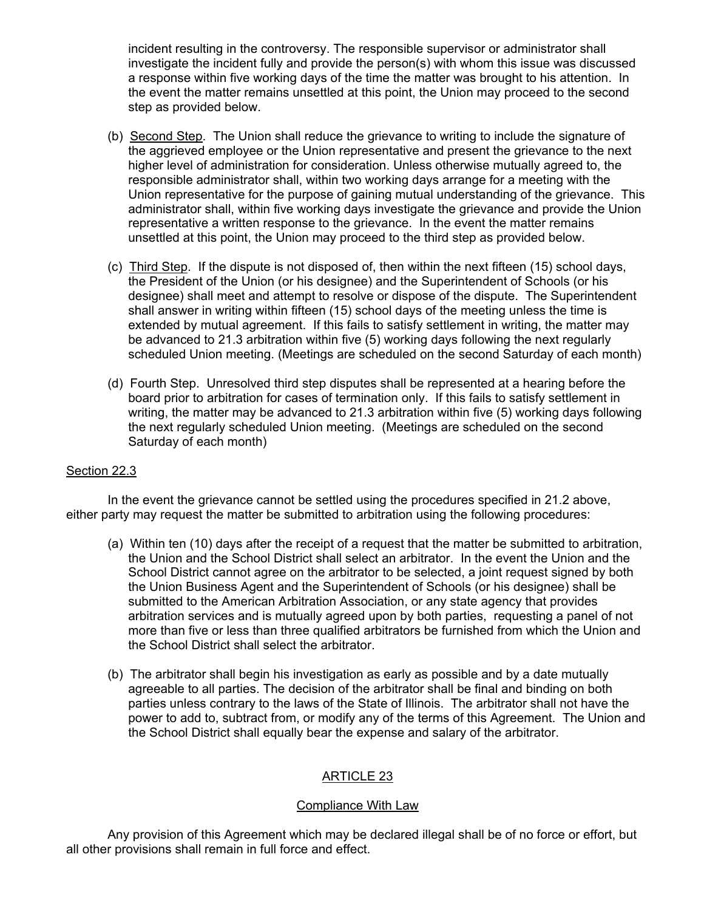incident resulting in the controversy. The responsible supervisor or administrator shall investigate the incident fully and provide the person(s) with whom this issue was discussed a response within five working days of the time the matter was brought to his attention. In the event the matter remains unsettled at this point, the Union may proceed to the second step as provided below.

- (b) Second Step. The Union shall reduce the grievance to writing to include the signature of the aggrieved employee or the Union representative and present the grievance to the next higher level of administration for consideration. Unless otherwise mutually agreed to, the responsible administrator shall, within two working days arrange for a meeting with the Union representative for the purpose of gaining mutual understanding of the grievance. This administrator shall, within five working days investigate the grievance and provide the Union representative a written response to the grievance. In the event the matter remains unsettled at this point, the Union may proceed to the third step as provided below.
- (c) Third Step. If the dispute is not disposed of, then within the next fifteen (15) school days, the President of the Union (or his designee) and the Superintendent of Schools (or his designee) shall meet and attempt to resolve or dispose of the dispute. The Superintendent shall answer in writing within fifteen (15) school days of the meeting unless the time is extended by mutual agreement. If this fails to satisfy settlement in writing, the matter may be advanced to 21.3 arbitration within five (5) working days following the next regularly scheduled Union meeting. (Meetings are scheduled on the second Saturday of each month)
- (d) Fourth Step. Unresolved third step disputes shall be represented at a hearing before the board prior to arbitration for cases of termination only. If this fails to satisfy settlement in writing, the matter may be advanced to 21.3 arbitration within five (5) working days following the next regularly scheduled Union meeting. (Meetings are scheduled on the second Saturday of each month)

# Section 22.3

 In the event the grievance cannot be settled using the procedures specified in 21.2 above, either party may request the matter be submitted to arbitration using the following procedures:

- (a) Within ten (10) days after the receipt of a request that the matter be submitted to arbitration, the Union and the School District shall select an arbitrator. In the event the Union and the School District cannot agree on the arbitrator to be selected, a joint request signed by both the Union Business Agent and the Superintendent of Schools (or his designee) shall be submitted to the American Arbitration Association, or any state agency that provides arbitration services and is mutually agreed upon by both parties, requesting a panel of not more than five or less than three qualified arbitrators be furnished from which the Union and the School District shall select the arbitrator.
- (b) The arbitrator shall begin his investigation as early as possible and by a date mutually agreeable to all parties. The decision of the arbitrator shall be final and binding on both parties unless contrary to the laws of the State of Illinois. The arbitrator shall not have the power to add to, subtract from, or modify any of the terms of this Agreement. The Union and the School District shall equally bear the expense and salary of the arbitrator.

# ARTICLE 23

## Compliance With Law

 Any provision of this Agreement which may be declared illegal shall be of no force or effort, but all other provisions shall remain in full force and effect.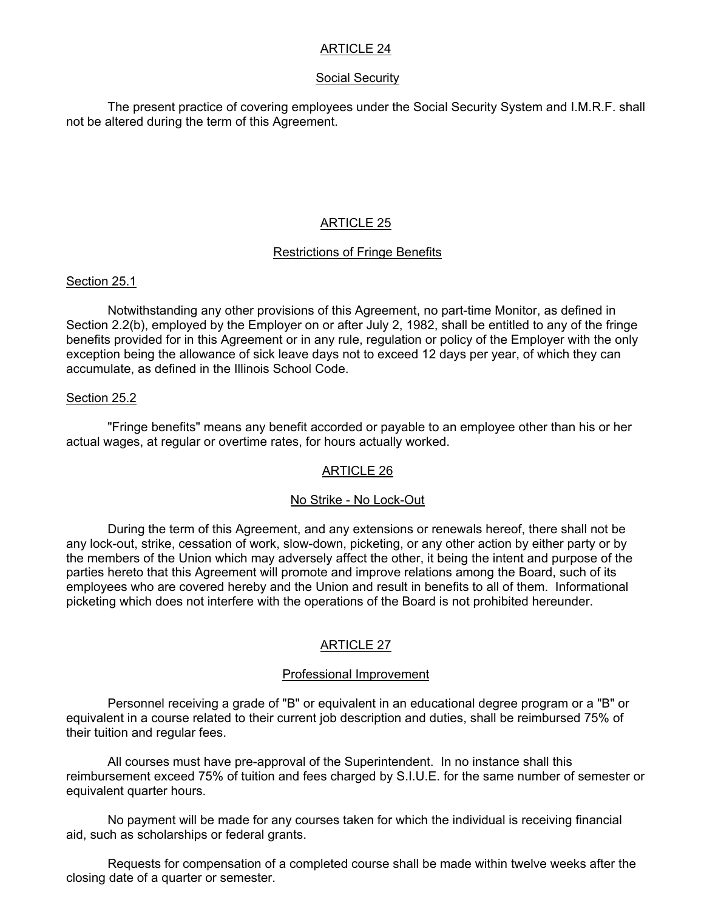# ARTICLE 24

## Social Security

 The present practice of covering employees under the Social Security System and I.M.R.F. shall not be altered during the term of this Agreement.

# ARTICLE 25

# Restrictions of Fringe Benefits

## Section 25.1

 Notwithstanding any other provisions of this Agreement, no part-time Monitor, as defined in Section 2.2(b), employed by the Employer on or after July 2, 1982, shall be entitled to any of the fringe benefits provided for in this Agreement or in any rule, regulation or policy of the Employer with the only exception being the allowance of sick leave days not to exceed 12 days per year, of which they can accumulate, as defined in the Illinois School Code.

# Section 25.2

 "Fringe benefits" means any benefit accorded or payable to an employee other than his or her actual wages, at regular or overtime rates, for hours actually worked.

# ARTICLE 26

## No Strike - No Lock-Out

 During the term of this Agreement, and any extensions or renewals hereof, there shall not be any lock-out, strike, cessation of work, slow-down, picketing, or any other action by either party or by the members of the Union which may adversely affect the other, it being the intent and purpose of the parties hereto that this Agreement will promote and improve relations among the Board, such of its employees who are covered hereby and the Union and result in benefits to all of them. Informational picketing which does not interfere with the operations of the Board is not prohibited hereunder.

# ARTICLE 27

## Professional Improvement

 Personnel receiving a grade of "B" or equivalent in an educational degree program or a "B" or equivalent in a course related to their current job description and duties, shall be reimbursed 75% of their tuition and regular fees.

 All courses must have pre-approval of the Superintendent. In no instance shall this reimbursement exceed 75% of tuition and fees charged by S.I.U.E. for the same number of semester or equivalent quarter hours.

 No payment will be made for any courses taken for which the individual is receiving financial aid, such as scholarships or federal grants.

 Requests for compensation of a completed course shall be made within twelve weeks after the closing date of a quarter or semester.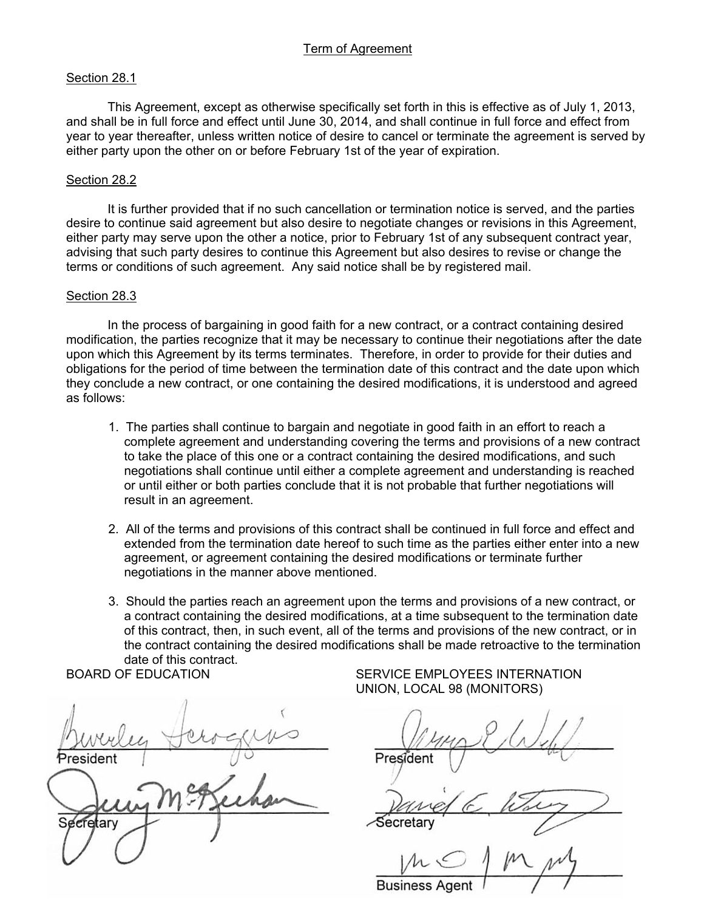# Term of Agreement

#### Section 28.1

 This Agreement, except as otherwise specifically set forth in this is effective as of July 1, 2013, and shall be in full force and effect until June 30, 2014, and shall continue in full force and effect from year to year thereafter, unless written notice of desire to cancel or terminate the agreement is served by either party upon the other on or before February 1st of the year of expiration.

#### Section 28.2

 It is further provided that if no such cancellation or termination notice is served, and the parties desire to continue said agreement but also desire to negotiate changes or revisions in this Agreement, either party may serve upon the other a notice, prior to February 1st of any subsequent contract year, advising that such party desires to continue this Agreement but also desires to revise or change the terms or conditions of such agreement. Any said notice shall be by registered mail.

#### Section 28.3

 In the process of bargaining in good faith for a new contract, or a contract containing desired modification, the parties recognize that it may be necessary to continue their negotiations after the date upon which this Agreement by its terms terminates. Therefore, in order to provide for their duties and obligations for the period of time between the termination date of this contract and the date upon which they conclude a new contract, or one containing the desired modifications, it is understood and agreed as follows:

- 1. The parties shall continue to bargain and negotiate in good faith in an effort to reach a complete agreement and understanding covering the terms and provisions of a new contract to take the place of this one or a contract containing the desired modifications, and such negotiations shall continue until either a complete agreement and understanding is reached or until either or both parties conclude that it is not probable that further negotiations will result in an agreement.
- 2. All of the terms and provisions of this contract shall be continued in full force and effect and extended from the termination date hereof to such time as the parties either enter into a new agreement, or agreement containing the desired modifications or terminate further negotiations in the manner above mentioned.
- 3. Should the parties reach an agreement upon the terms and provisions of a new contract, or a contract containing the desired modifications, at a time subsequent to the termination date of this contract, then, in such event, all of the terms and provisions of the new contract, or in the contract containing the desired modifications shall be made retroactive to the termination date of this contract.

 $\mathbb{P}$ Ï  $\mathcal{S}$  secretary  $\mathcal{S}$ ecretary  $\mu$ 

BOARD OF EDUCATION SERVICE EMPLOYEES INTERNATION UNION, LOCAL 98 (MONITORS)

President

Secretan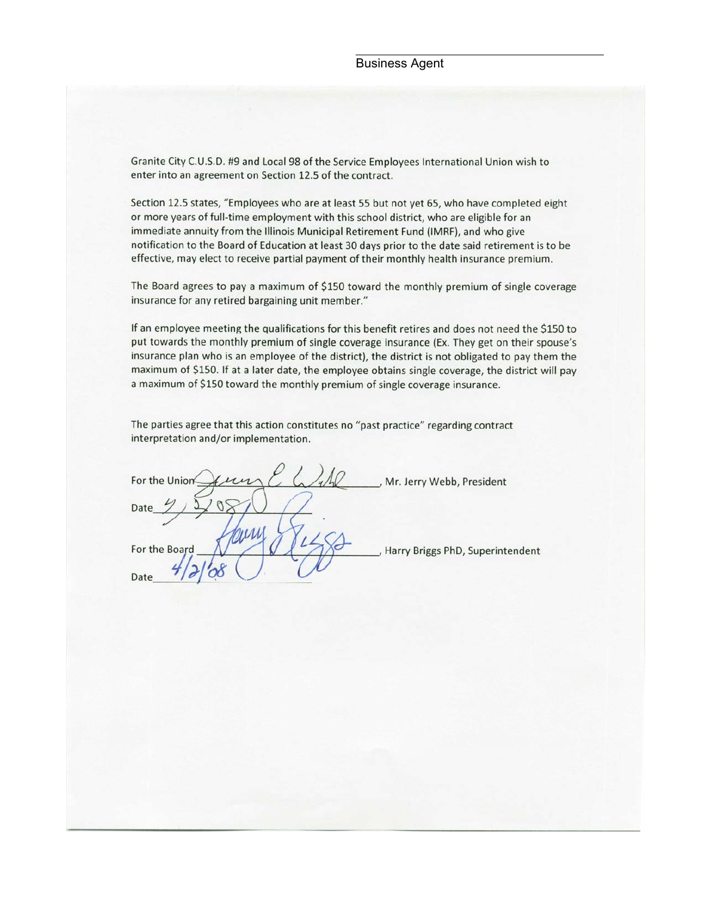Granite City C.U.S.D. #9 and Local 98 of the Service Employees International Union wish to enter into an agreement on Section 12.5 of the contract.

Section 12.5 states, "Employees who are at least 55 but not yet 65, who have completed eight or more years of full-time employment with this school district, who are eligible for an immediate annuity from the Illinois Municipal Retirement Fund (IMRF), and who give notification to the Board of Education at least 30 days prior to the date said retirement is to be effective, may elect to receive partial payment of their monthly health insurance premium.

The Board agrees to pay a maximum of \$150 toward the monthly premium of single coverage insurance for any retired bargaining unit member."

If an employee meeting the qualifications for this benefit retires and does not need the \$150 to put towards the monthly premium of single coverage insurance (Ex. They get on their spouse's insurance plan who is an employee of the district), the district is not obligated to pay them the maximum of \$150. If at a later date, the employee obtains single coverage, the district will pay a maximum of \$150 toward the monthly premium of single coverage insurance.

The parties agree that this action constitutes no "past practice" regarding contract interpretation and/or implementation.

For the Unior Mr. Jerry Webb, President Date For the Boa Date

Harry Briggs PhD, Superintendent